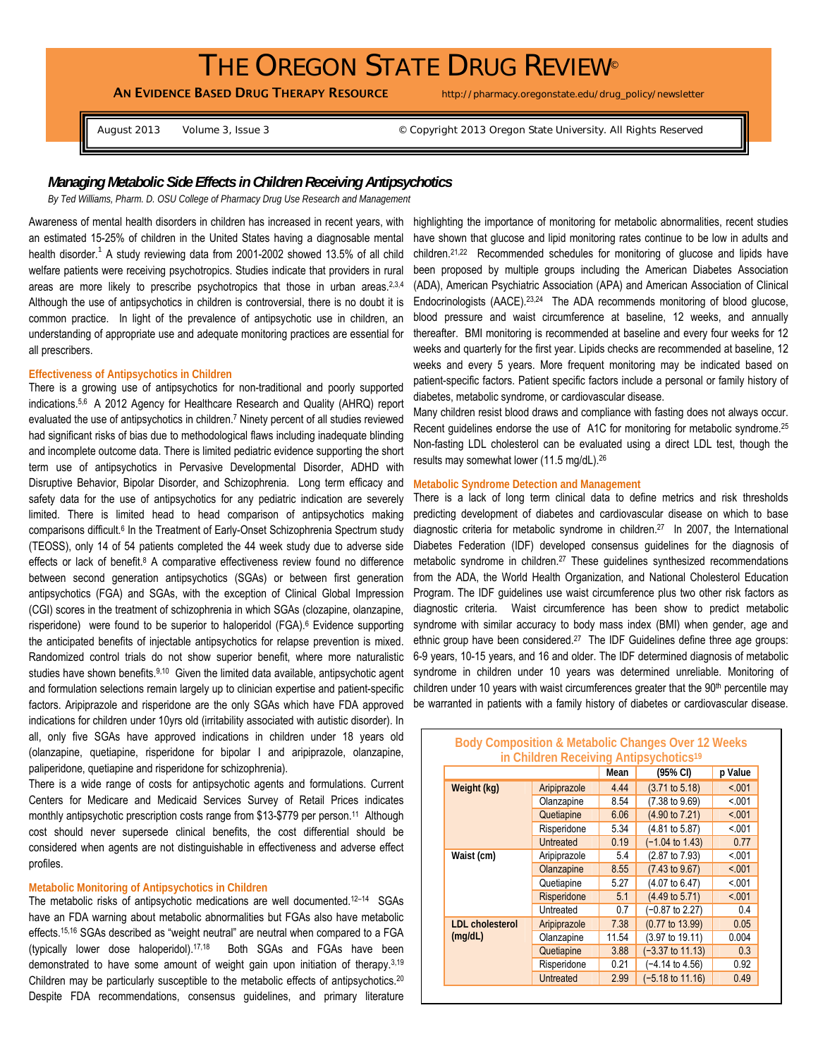# THE OREGON STATE DRUG REVIEW<sup>®</sup>

AN EVIDENCE BASED DRUG THERAPY RESOURCE http://pharmacy.oregonstate.edu/drug\_policy/newsletter

August 2013 Volume 3, Issue 3 © Copyright 2013 Oregon State University. All Rights Reserved

## *Managing Metabolic Side Effects in Children Receiving Antipsychotics*

*By Ted Williams, Pharm. D. OSU College of Pharmacy Drug Use Research and Management* 

Awareness of mental health disorders in children has increased in recent years, with an estimated 15-25% of children in the United States having a diagnosable mental health disorder.<sup>1</sup> A study reviewing data from 2001-2002 showed 13.5% of all child welfare patients were receiving psychotropics. Studies indicate that providers in rural areas are more likely to prescribe psychotropics that those in urban areas.<sup>2,3,4</sup> Although the use of antipsychotics in children is controversial, there is no doubt it is common practice. In light of the prevalence of antipsychotic use in children, an understanding of appropriate use and adequate monitoring practices are essential for all prescribers.

## **Effectiveness of Antipsychotics in Children**

There is a growing use of antipsychotics for non-traditional and poorly supported indications.5,6 A 2012 Agency for Healthcare Research and Quality (AHRQ) report evaluated the use of antipsychotics in children.7 Ninety percent of all studies reviewed had significant risks of bias due to methodological flaws including inadequate blinding and incomplete outcome data. There is limited pediatric evidence supporting the short term use of antipsychotics in Pervasive Developmental Disorder, ADHD with Disruptive Behavior, Bipolar Disorder, and Schizophrenia. Long term efficacy and safety data for the use of antipsychotics for any pediatric indication are severely limited. There is limited head to head comparison of antipsychotics making comparisons difficult.<sup>6</sup> In the Treatment of Early-Onset Schizophrenia Spectrum study (TEOSS), only 14 of 54 patients completed the 44 week study due to adverse side effects or lack of benefit. $8$  A comparative effectiveness review found no difference between second generation antipsychotics (SGAs) or between first generation antipsychotics (FGA) and SGAs, with the exception of Clinical Global Impression (CGI) scores in the treatment of schizophrenia in which SGAs (clozapine, olanzapine, risperidone) were found to be superior to haloperidol (FGA).<sup>6</sup> Evidence supporting the anticipated benefits of injectable antipsychotics for relapse prevention is mixed. Randomized control trials do not show superior benefit, where more naturalistic studies have shown benefits.<sup>9,10</sup> Given the limited data available, antipsychotic agent and formulation selections remain largely up to clinician expertise and patient-specific factors. Aripiprazole and risperidone are the only SGAs which have FDA approved indications for children under 10yrs old (irritability associated with autistic disorder). In all, only five SGAs have approved indications in children under 18 years old (olanzapine, quetiapine, risperidone for bipolar I and aripiprazole, olanzapine, paliperidone, quetiapine and risperidone for schizophrenia).

There is a wide range of costs for antipsychotic agents and formulations. Current Centers for Medicare and Medicaid Services Survey of Retail Prices indicates monthly antipsychotic prescription costs range from \$13-\$779 per person.<sup>11</sup> Although cost should never supersede clinical benefits, the cost differential should be considered when agents are not distinguishable in effectiveness and adverse effect profiles.

## **Metabolic Monitoring of Antipsychotics in Children**

The metabolic risks of antipsychotic medications are well documented.<sup>12-14</sup> SGAs have an FDA warning about metabolic abnormalities but FGAs also have metabolic effects.15,16 SGAs described as "weight neutral" are neutral when compared to a FGA (typically lower dose haloperidol).17,18 Both SGAs and FGAs have been demonstrated to have some amount of weight gain upon initiation of therapy.<sup>3,19</sup> Children may be particularly susceptible to the metabolic effects of antipsychotics.<sup>20</sup> Despite FDA recommendations, consensus guidelines, and primary literature

highlighting the importance of monitoring for metabolic abnormalities, recent studies have shown that glucose and lipid monitoring rates continue to be low in adults and children.21,22 Recommended schedules for monitoring of glucose and lipids have been proposed by multiple groups including the American Diabetes Association (ADA), American Psychiatric Association (APA) and American Association of Clinical Endocrinologists (AACE).23,24 The ADA recommends monitoring of blood glucose, blood pressure and waist circumference at baseline, 12 weeks, and annually thereafter. BMI monitoring is recommended at baseline and every four weeks for 12 weeks and quarterly for the first year. Lipids checks are recommended at baseline, 12 weeks and every 5 years. More frequent monitoring may be indicated based on patient-specific factors. Patient specific factors include a personal or family history of diabetes, metabolic syndrome, or cardiovascular disease.

Many children resist blood draws and compliance with fasting does not always occur. Recent guidelines endorse the use of A1C for monitoring for metabolic syndrome.<sup>25</sup> Non-fasting LDL cholesterol can be evaluated using a direct LDL test, though the results may somewhat lower (11.5 mg/dL).<sup>26</sup>

## **Metabolic Syndrome Detection and Management**

There is a lack of long term clinical data to define metrics and risk thresholds predicting development of diabetes and cardiovascular disease on which to base diagnostic criteria for metabolic syndrome in children.27 In 2007, the International Diabetes Federation (IDF) developed consensus guidelines for the diagnosis of metabolic syndrome in children.<sup>27</sup> These quidelines synthesized recommendations from the ADA, the World Health Organization, and National Cholesterol Education Program. The IDF guidelines use waist circumference plus two other risk factors as diagnostic criteria. Waist circumference has been show to predict metabolic syndrome with similar accuracy to body mass index (BMI) when gender, age and ethnic group have been considered.<sup>27</sup> The IDF Guidelines define three age groups: 6-9 years, 10-15 years, and 16 and older. The IDF determined diagnosis of metabolic syndrome in children under 10 years was determined unreliable. Monitoring of children under 10 years with waist circumferences greater that the 90<sup>th</sup> percentile may be warranted in patients with a family history of diabetes or cardiovascular disease.

| Body Composition & Metabolic Changes Over 12 Weeks |                  |       |                            |         |
|----------------------------------------------------|------------------|-------|----------------------------|---------|
| in Children Receiving Antipsychotics <sup>19</sup> |                  |       |                            |         |
|                                                    |                  | Mean  | (95% CI)                   | p Value |
| Weight (kg)                                        | Aripiprazole     | 4.44  | $(3.71$ to $5.18)$         | < 0.01  |
|                                                    | Olanzapine       | 8.54  | (7.38 to 9.69)             | < 001   |
|                                                    | Quetiapine       | 6.06  | (4.90 to 7.21)             | < 0.01  |
|                                                    | Risperidone      | 5.34  | (4.81 to 5.87)             | < 0.01  |
|                                                    | Untreated        | 0.19  | $(-1.04 \text{ to } 1.43)$ | 0.77    |
| Waist (cm)                                         | Aripiprazole     | 5.4   | (2.87 to 7.93)             | < 0.01  |
|                                                    | Olanzapine       | 8.55  | $(7.43 \text{ to } 9.67)$  | < 0.01  |
|                                                    | Quetiapine       | 5.27  | (4.07 to 6.47)             | < 0.01  |
|                                                    | Risperidone      | 5.1   | (4.49 to 5.71)             | < 0.01  |
|                                                    | Untreated        | 0.7   | $(-0.87$ to 2.27)          | 0.4     |
| <b>LDL</b> cholesterol<br>(mq/dL)                  | Aripiprazole     | 7.38  | (0.77 to 13.99)            | 0.05    |
|                                                    | Olanzapine       | 11.54 | (3.97 to 19.11)            | 0.004   |
|                                                    | Quetiapine       | 3.88  | $(-3.37$ to 11.13)         | 0.3     |
|                                                    | Risperidone      | 0.21  | $(-4.14 \text{ to } 4.56)$ | 0.92    |
|                                                    | <b>Untreated</b> | 2.99  | $-5.18$ to 11.16)          | 0.49    |